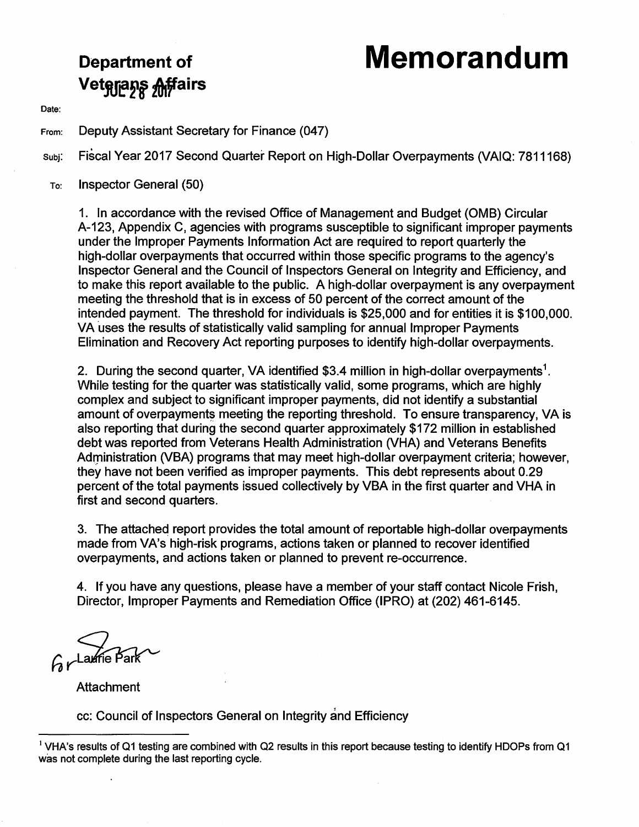# **Department of Memorandum**

Date:

From: Deputy Assistant Secretary for Finance (047)

subj: Fiscal Year 2017 Second Quarter Report on High-Dollar Overpayments (VAIQ: 7811168)

To: Inspector General (50)

**Veterans Affairs** 

1. In accordance with the revised Office of Management and Budget (0MB) Circular A-123, Appendix C, agencies with programs susceptible to significant improper payments under the Improper Payments Information Act are required to report quarterly the high-dollar overpayments that occurred within those specific programs to the agency's Inspector General and the Council of Inspectors General on Integrity and Efficiency, and to make this report available to the public. A high-dollar overpayment is any overpayment meeting the threshold that is in excess of 50 percent of the correct amount of the intended payment. The threshold for individuals is \$25,000 and for entities it is \$100,000. VA uses the results of statistically valid sampling for annual Improper Payments Elimination and Recovery Act reporting purposes to identify high-dollar overpayments.

2. During the second quarter, VA identified \$3.4 million in high-dollar overpayments<sup>1</sup>. While testing for the quarter was statistically valid, some programs, which are highly complex and subject to significant improper payments, did not identify a substantial amount of overpayments meeting the reporting threshold. To ensure transparency, VA is also reporting that during the second quarter approximately \$172 million in established debt was reported from Veterans Health Administration (VHA) and Veterans Benefits Administration (VBA) programs that may meet high-dollar overpayment criteria; however, they have not been verified as improper payments. This debt represents about 0.29 percent of the total payments issued collectively by VBA in the first quarter and VHA in first and second quarters.

3. The attacheq report provides the total amount of reportable high-dollar overpayments made from VA's high-risk programs, actions taken or planned to recover identified overpayments, and actions taken or planned to prevent re-occurrence.

4. If you have any questions, please have a member of your staff contact Nicole Frish, Director, Improper Payments and Remediation Office (IPRO) at (202) 461-6145.

 $Ar$ Laurie B

Attachment

cc: Council of Inspectors General on Integrity and Efficiency

<sup>&</sup>lt;sup>1</sup> VHA's results of Q1 testing are combined with Q2 results in this report because testing to identify HDOPs from Q1 was not complete during the last reporting cycle.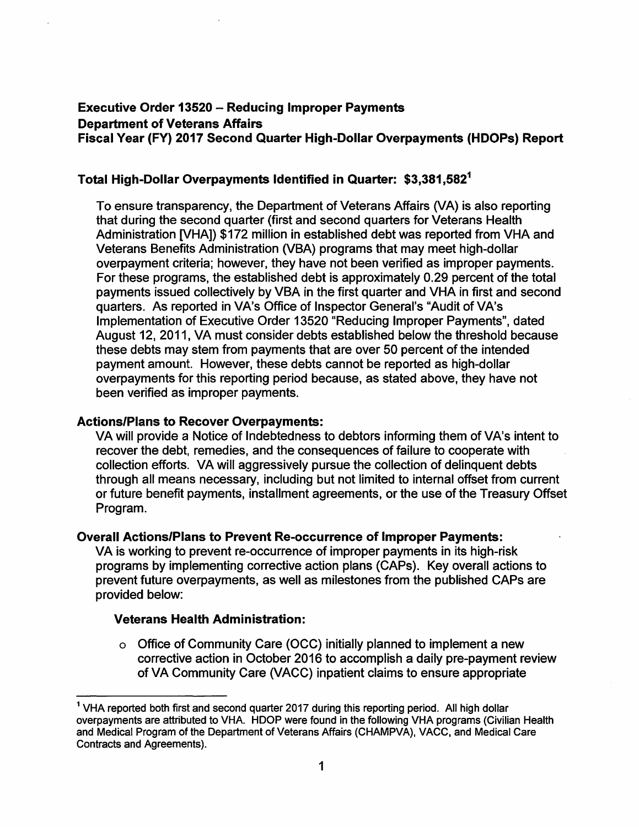## **Executive Order 13520 - Reducing Improper Payments Department of Veterans Affairs Fiscal Year (FY) 2017 Second Quarter High-Dollar Overpayments (HDOPs) Report**

## **Total High-Dollar Overpayments Identified in Quarter: \$3,381,582<sup>1</sup>**

To ensure transparency, the Department of Veterans Affairs (VA) is also reporting that during the second quarter (first and second quarters for Veterans Health Administration [VHA]) \$172 million in established debt was reported from VHA and Veterans Benefits Administration (VBA) programs that may meet high-dollar overpayment criteria; however, they have not been verified as improper payments. For these programs, the established debt is approximately 0.29 percent of the total payments issued collectively by VBA in the first quarter and VHA in first and second quarters. As reported in VA's Office of Inspector General's "Audit of VA's Implementation of Executive Order 13520 "Reducing Improper Payments", dated August 12, 2011, VA must consider debts established below the threshold because these debts may stem from payments that are over 50 percent of the intended payment amount. However, these debts cannot be reported as high-dollar overpayments for this reporting period because, as stated above, they have not been verified as improper payments.

## **Actions/Plans to Recover Overpayments:**

VA will provide a Notice of Indebtedness to debtors informing them of VA's intent to recover the debt, remedies, and the consequences of failure to cooperate with collection efforts. VA will aggressively pursue the collection of delinquent debts through all means necessary, including but not limited to internal offset from current or future benefit payments, installment agreements, or the use of the Treasury Offset Program.

#### **Overall Actions/Plans to Prevent Re-occurrence of Improper Payments:**

VA is working to prevent re-occurrence of improper payments in its high-risk programs by implementing corrective action plans (CAPs). Key overall actions to prevent future overpayments, as well as milestones from the published CAPs are provided below:

## **Veterans Health Administration:**

o Office of Community Care (OCC) initially planned to implement a new corrective action in October 2016 to accomplish a daily pre-payment review of VA Community Care (VACC) inpatient claims to ensure appropriate

<sup>&</sup>lt;sup>1</sup> VHA reported both first and second quarter 2017 during this reporting period. All high dollar overpayments are attributed to VHA. HDOP were found in the following VHA programs (Civilian Health and Medical Program of the Department of Veterans Affairs (CHAMPVA), VACC, and Medical Care Contracts and Agreements).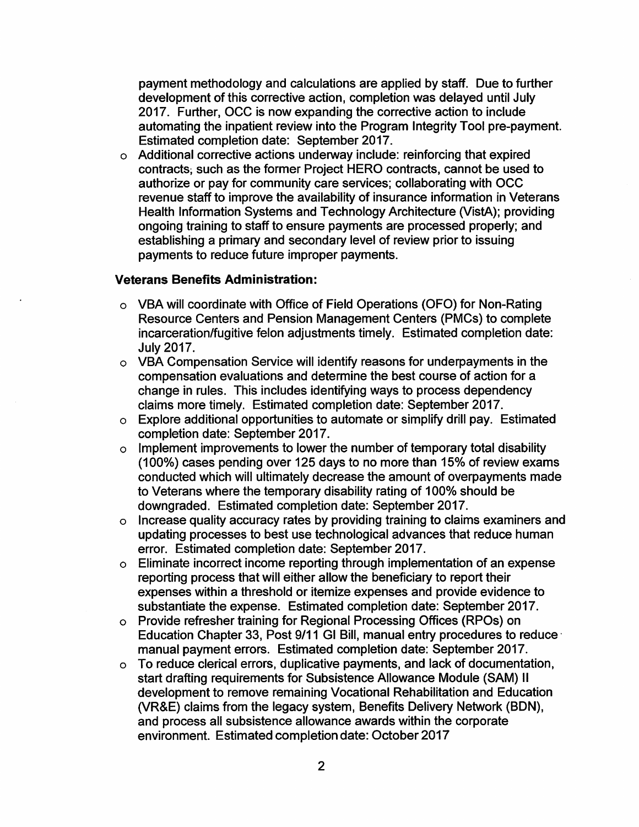payment methodology and calculations are applied by staff. Due to further development of this corrective action, completion was delayed until July 2017. Further, OCC is now expanding the corrective action to include automating the inpatient review into the Program Integrity Tool pre-payment. Estimated completion date: September 2017.

o Additional corrective actions underway include: reinforcing that expired contracts, such as the former Project HERO contracts, cannot be used to authorize or pay for community care services; collaborating with OCC revenue staff to improve the availability of insurance information in Veterans Health Information Systems and Technology Architecture (VistA); providing ongoing training to staff to ensure payments are processed properly; and establishing a primary and secondary level of review prior to issuing payments to reduce future improper payments.

#### **Veterans Benefits Administration:**

- o VBA will coordinate with Office of Field Operations (OFO) for Non-Rating Resource Centers and Pension Management Centers (PMCs) to complete incarceration/fugitive felon adjustments timely. Estimated completion date: July 2017.
- o VBA Compensation Service will identify reasons for underpayments in the compensation evaluations and determine the best course of action for a change in rules. This includes identifying ways to process dependency claims more timely. Estimated completion date: September 2017.
- o Explore additional opportunities to automate or simplify drill pay. Estimated completion date: September 2017.
- $\circ$  Implement improvements to lower the number of temporary total disability (100%) cases pending over 125 days to no more than 15% of review exams conducted which will ultimately decrease the amount of overpayments made to Veterans where the temporary disability rating of 100% should be downgraded. Estimated completion date: September 2017.
- o Increase quality accuracy rates by providing training to claims examiners and updating processes to best use technological advances that reduce human error. Estimated completion date: September 2017.
- o Eliminate incorrect income reporting through implementation of an expense reporting process that will either allow the beneficiary to report their expenses within a threshold or itemize expenses and provide evidence to substantiate the expense. Estimated completion date: September 2017.
- o Provide refresher training for Regional Processing Offices (RPOs) on Education Chapter 33, Post 9/11 GI Bill, manual entry procedures to reduce· manual payment errors. Estimated completion date: September 2017.
- o To reduce clerical errors, duplicative payments, and lack of documentation, start drafting requirements for Subsistence Allowance Module (SAM) II development to remove remaining Vocational Rehabilitation and Education (VR&E) claims from the legacy system, Benefits Delivery Network (BON), and process all subsistence allowance awards within the corporate environment. Estimated completion date: October 2017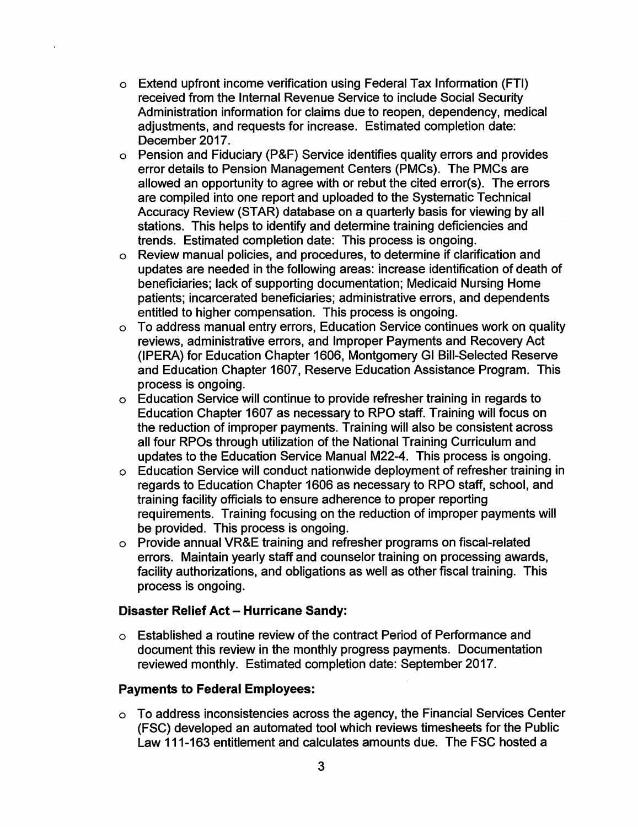- o Extend upfront income verification using Federal Tax Information (FTI) received from the Internal Revenue Service to include Social Security Administration information for claims due to reopen, dependency, medical adjustments, and requests for increase. Estimated completion date: December 2017.
- o Pension and Fiduciary (P&F) Service identifies quality errors and provides error details to Pension Management Centers (PMCs). The PMCs are allowed an opportunity to agree with or rebut the cited error(s). The errors are compiled into one report and uploaded to the Systematic Technical Accuracy Review (STAR) database on a quarterly basis for viewing by all stations. This helps to identify and determine training deficiencies and trends. Estimated completion date: This process is ongoing.
- o Review manual policies, and procedures, to determine if clarification and updates are needed in the following areas: increase identification of death of beneficiaries; lack of supporting documentation; Medicaid Nursing Home patients; incarcerated beneficiaries; administrative errors, and dependents entitled to higher compensation. This process is ongoing.
- o To address manual entry errors, Education Service continues work on quality reviews, administrative errors, and Improper Payments and Recovery Act (IPERA) for Education Chapter 1606, Montgomery GI Bill-Selected Reserve and Education Chapter 1607, Reserve Education Assistance Program. This process is ongoing.
- o Education Service will continue to provide refresher training in regards to Education Chapter 1607 as necessary to RPO staff. Training will focus on the reduction of improper payments. Training will also be consistent across all four RPOs through utilization of the National Training Curriculum and updates to the Education Service Manual M22-4. This process is ongoing.
- o Education Service will conduct nationwide deployment of refresher training in regards to Education Chapter 1606 as necessary to RPO staff, school, and training facility officials to ensure adherence to proper reporting requirements. Training focusing on the reduction of improper payments will be provided. This process is ongoing.
- o Provide annual VR&E training and refresher programs on fiscal-related errors. Maintain yearly staff and counselor training on processing awards, facility authorizations, and obligations as well as other fiscal training. This process is ongoing.

# **Disaster Relief Act - Hurricane Sandy:**

o Established a routine review of the contract Period of Performance and document this review in the monthly progress payments. Documentation reviewed monthly. Estimated completion date: September 2017.

## **Payments to Federal Employees:**

o To address inconsistencies across the agency, the Financial Services Center (FSC) developed an automated tool which reviews timesheets for the Public Law 111-163 entitlement and calculates amounts due. The FSC hosted a